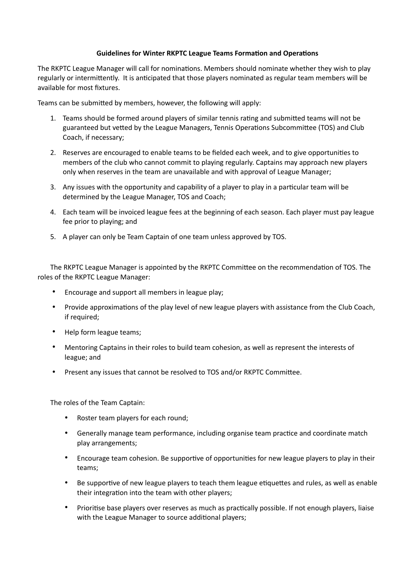## **Guidelines for Winter RKPTC League Teams Formation and Operations**

The RKPTC League Manager will call for nominations. Members should nominate whether they wish to play regularly or intermittently. It is anticipated that those players nominated as regular team members will be available for most fixtures.

Teams can be submitted by members, however, the following will apply:

- 1. Teams should be formed around players of similar tennis rating and submitted teams will not be guaranteed but vetted by the League Managers, Tennis Operations Subcommittee (TOS) and Club Coach, if necessary;
- 2. Reserves are encouraged to enable teams to be fielded each week, and to give opportunities to members of the club who cannot commit to playing regularly. Captains may approach new players only when reserves in the team are unavailable and with approval of League Manager;
- 3. Any issues with the opportunity and capability of a player to play in a particular team will be determined by the League Manager, TOS and Coach;
- 4. Each team will be invoiced league fees at the beginning of each season. Each player must pay league fee prior to playing; and
- 5. A player can only be Team Captain of one team unless approved by TOS.

The RKPTC League Manager is appointed by the RKPTC Committee on the recommendation of TOS. The roles of the RKPTC League Manager:

- Encourage and support all members in league play;
- Provide approximations of the play level of new league players with assistance from the Club Coach, if required;
- Help form league teams;
- Mentoring Captains in their roles to build team cohesion, as well as represent the interests of league; and
- Present any issues that cannot be resolved to TOS and/or RKPTC Committee.

The roles of the Team Captain:

- Roster team players for each round;
- Generally manage team performance, including organise team practice and coordinate match play arrangements;
- Encourage team cohesion. Be supportive of opportunities for new league players to play in their teams;
- Be supportive of new league players to teach them league etiquettes and rules, as well as enable their integration into the team with other players;
- Prioritise base players over reserves as much as practically possible. If not enough players, liaise with the League Manager to source additional players;